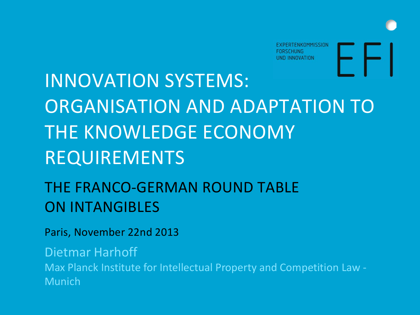

# THE FRANCO-GERMAN ROUND TABLE ON INTANGIBLES

Paris, November 22nd 2013

Dietmar Harhoff

Max Planck Institute for Intellectual Property and Competition Law - Munich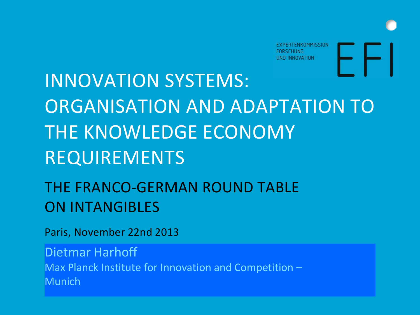

# THE FRANCO-GERMAN ROUND TABLE ON INTANGIBLES

Paris, November 22nd 2013

Dietmar Harhoff Max Planck Institute for Innovation and Competition – **Munich**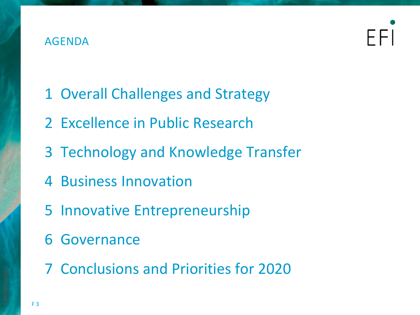### AGENDA

- Overall Challenges and Strategy
- Excellence in Public Research
- Technology and Knowledge Transfer
- Business Innovation
- Innovative Entrepreneurship
- Governance
- Conclusions and Priorities for 2020

F 3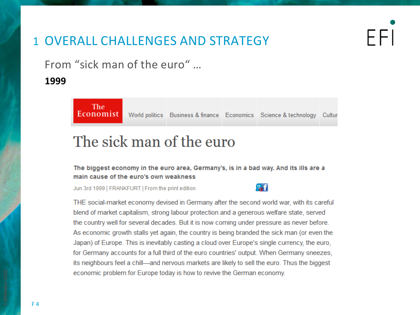From "sick man of the euro" …

#### **1999**

The Economist World politics Business & finance Economics Science & technology Cultur

# The sick man of the euro

#### The biggest economy in the euro area, Germany's, is in a bad way. And its ills are a main cause of the euro's own weakness

Jun 3rd 1999 | FRANKFURT | From the print edition



THE social-market economy devised in Germany after the second world war, with its careful blend of market capitalism, strong labour protection and a generous welfare state, served the country well for several decades. But it is now coming under pressure as never before. As economic growth stalls yet again, the country is being branded the sick man (or even the Japan) of Europe. This is inevitably casting a cloud over Europe's single currency, the euro, for Germany accounts for a full third of the euro countries' output. When Germany sneezes, its neighbours feel a chill—and nervous markets are likely to sell the euro. Thus the biggest economic problem for Europe today is how to revive the German economy.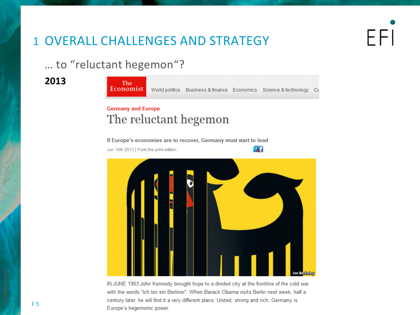EFI

… to "reluctant hegemon"?

**2013**



IN JUNE 1963 John Kennedy brought hope to a divided city at the frontline of the cold war with the words "Ich bin ein Berliner". When Barack Obama visits Berlin next week, half a century later, he will find it a very different place. United, strong and rich, Germany is Europe's hegemonic power.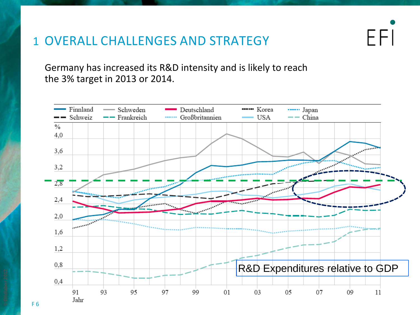

Germany has increased its R&D intensity and is likely to reach the 3% target in 2013 or 2014.

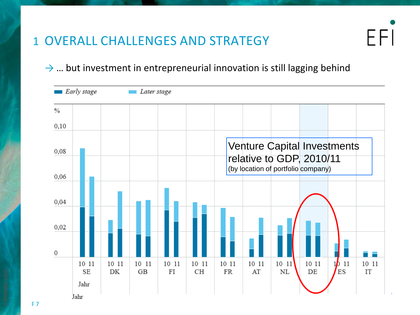

### $\rightarrow$  ... but investment in entrepreneurial innovation is still lagging behind

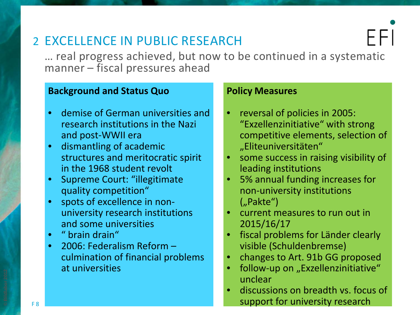# 2 EXCELLENCE IN PUBLIC RESEARCH

… real progress achieved, but now to be continued in a systematic manner – fiscal pressures ahead

#### **Background and Status Quo**

- demise of German universities and research institutions in the Nazi and post-WWII era
- dismantling of academic structures and meritocratic spirit in the 1968 student revolt
- Supreme Court: "illegitimate quality competition"
- spots of excellence in nonuniversity research institutions and some universities
- " brain drain"
- 2006: Federalism Reform culmination of financial problems at universities

- reversal of policies in 2005: "Exzellenzinitiative" with strong competitive elements, selection of "Eliteuniversitäten"
- some success in raising visibility of leading institutions
- 5% annual funding increases for non-university institutions  $($ "Pakte")
- current measures to run out in 2015/16/17
- fiscal problems for Länder clearly visible (Schuldenbremse)
- changes to Art. 91b GG proposed
- follow-up on "Exzellenzinitiative" unclear
- discussions on breadth vs. focus of support for university research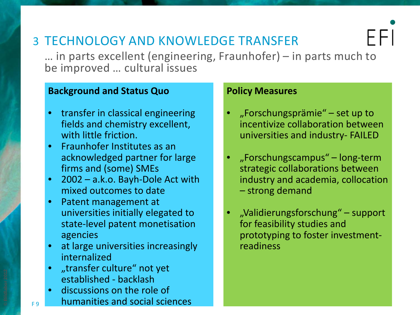# 3 TECHNOLOGY AND KNOWLEDGE TRANSFER

… in parts excellent (engineering, Fraunhofer) – in parts much to be improved … cultural issues

#### **Background and Status Quo**

- transfer in classical engineering fields and chemistry excellent, with little friction.
- Fraunhofer Institutes as an acknowledged partner for large firms and (some) SMEs
- $2002 a.k.o.$  Bayh-Dole Act with mixed outcomes to date
- Patent management at universities initially elegated to state-level patent monetisation agencies
- at large universities increasingly internalized
- "transfer culture" not yet established - backlash

F 9

• discussions on the role of humanities and social sciences

- "Forschungsprämie" set up to incentivize collaboration between universities and industry- FAILED
- "Forschungscampus" long-term strategic collaborations between industry and academia, collocation – strong demand
- "Validierungsforschung" support for feasibility studies and prototyping to foster investmentreadiness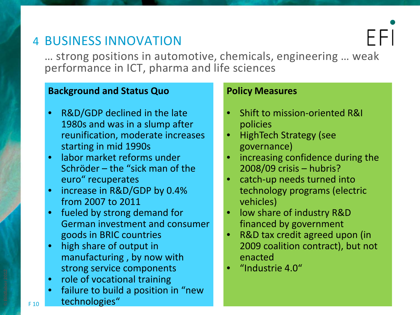# 4 BUSINESS INNOVATION

… strong positions in automotive, chemicals, engineering … weak performance in ICT, pharma and life sciences

#### **Background and Status Quo**

- R&D/GDP declined in the late 1980s and was in a slump after reunification, moderate increases starting in mid 1990s
- labor market reforms under Schröder – the "sick man of the euro" recuperates
- increase in R&D/GDP by 0.4% from 2007 to 2011
- fueled by strong demand for German investment and consumer goods in BRIC countries
- high share of output in manufacturing , by now with strong service components
- role of vocational training
- failure to build a position in "new technologies"

- Shift to mission-oriented R&I policies
- HighTech Strategy (see governance)
- increasing confidence during the 2008/09 crisis – hubris?
- catch-up needs turned into technology programs (electric vehicles)
- low share of industry R&D financed by government
- R&D tax credit agreed upon (in 2009 coalition contract), but not enacted
- "Industrie 4.0"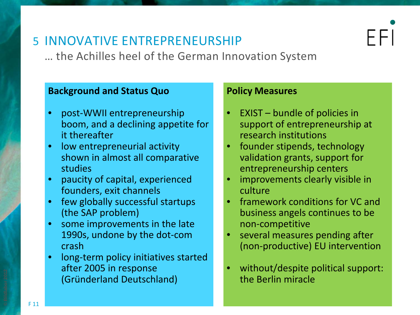# Ηt

# 5 INNOVATIVE ENTREPRENEURSHIP

… the Achilles heel of the German Innovation System

### **Background and Status Quo**

- post-WWII entrepreneurship boom, and a declining appetite for it thereafter
- low entrepreneurial activity shown in almost all comparative studies
- paucity of capital, experienced founders, exit channels
- few globally successful startups (the SAP problem)
- some improvements in the late 1990s, undone by the dot-com crash
- long-term policy initiatives started after 2005 in response (Gründerland Deutschland)

- EXIST bundle of policies in support of entrepreneurship at research institutions
- founder stipends, technology validation grants, support for entrepreneurship centers
- improvements clearly visible in culture
- framework conditions for VC and business angels continues to be non-competitive
- several measures pending after (non-productive) EU intervention
- without/despite political support: the Berlin miracle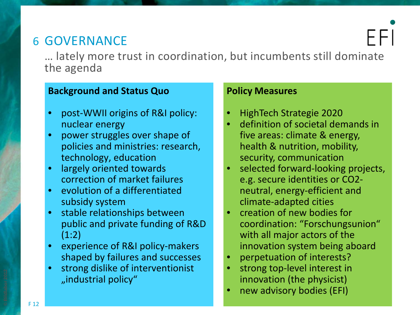# 6 GOVERNANCE

… lately more trust in coordination, but incumbents still dominate the agenda

#### **Background and Status Quo**

- post-WWII origins of R&I policy: nuclear energy
- power struggles over shape of policies and ministries: research, technology, education
- largely oriented towards correction of market failures
- evolution of a differentiated subsidy system
- stable relationships between public and private funding of R&D  $(1:2)$
- experience of R&I policy-makers shaped by failures and successes
- strong dislike of interventionist "industrial policy"

- HighTech Strategie 2020
- definition of societal demands in five areas: climate & energy, health & nutrition, mobility, security, communication
- selected forward-looking projects, e.g. secure identities or CO2 neutral, energy-efficient and climate-adapted cities
- creation of new bodies for coordination: "Forschungsunion" with all major actors of the innovation system being aboard
- perpetuation of interests?
- strong top-level interest in innovation (the physicist)
- new advisory bodies (EFI)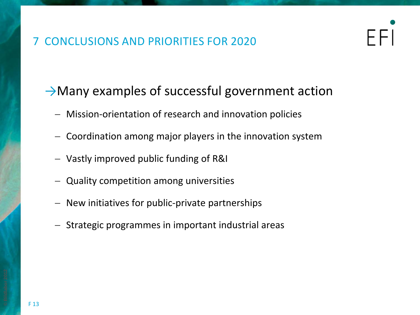# ┡┝

# $\rightarrow$ Many examples of successful government action

- − Mission-orientation of research and innovation policies
- − Coordination among major players in the innovation system
- − Vastly improved public funding of R&I
- − Quality competition among universities
- New initiatives for public-private partnerships
- − Strategic programmes in important industrial areas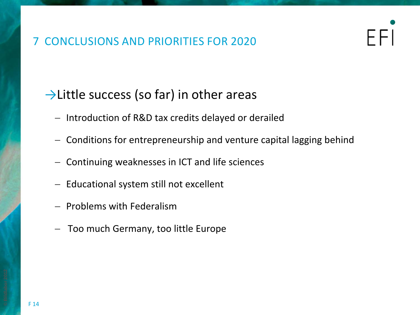# FFI

# $\rightarrow$ Little success (so far) in other areas

- − Introduction of R&D tax credits delayed or derailed
- − Conditions for entrepreneurship and venture capital lagging behind
- − Continuing weaknesses in ICT and life sciences
- − Educational system still not excellent
- − Problems with Federalism
- − Too much Germany, too little Europe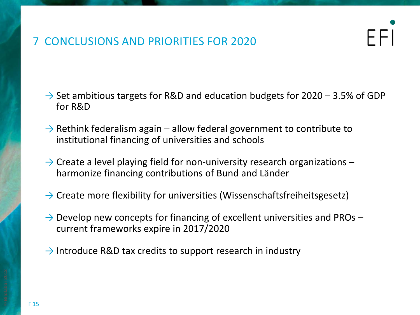

- $\rightarrow$  Set ambitious targets for R&D and education budgets for 2020 3.5% of GDP for R&D
- $\rightarrow$  Rethink federalism again allow federal government to contribute to institutional financing of universities and schools
- $\rightarrow$  Create a level playing field for non-university research organizations harmonize financing contributions of Bund and Länder
- $\rightarrow$  Create more flexibility for universities (Wissenschaftsfreiheitsgesetz)
- $\rightarrow$  Develop new concepts for financing of excellent universities and PROs current frameworks expire in 2017/2020
- $\rightarrow$  Introduce R&D tax credits to support research in industry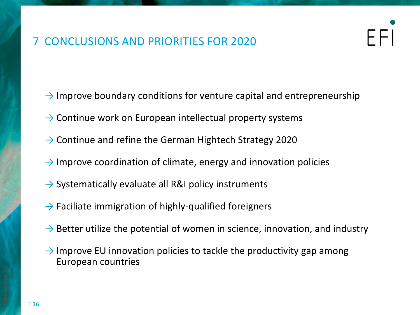┡┝╢

- $\rightarrow$  Improve boundary conditions for venture capital and entrepreneurship
- $\rightarrow$  Continue work on European intellectual property systems
- $\rightarrow$  Continue and refine the German Hightech Strategy 2020
- $\rightarrow$  Improve coordination of climate, energy and innovation policies
- $\rightarrow$  Systematically evaluate all R&I policy instruments
- $\rightarrow$  Faciliate immigration of highly-qualified foreigners
- $\rightarrow$  Better utilize the potential of women in science, innovation, and industry
- $\rightarrow$  Improve EU innovation policies to tackle the productivity gap among European countries